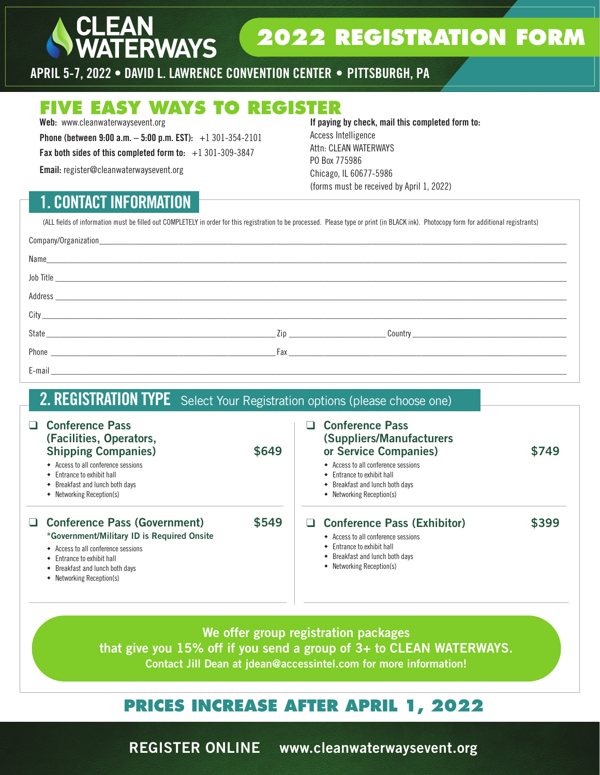## **2022 REGISTRATION FORM**

APRIL 5-7, 2022 • DAVID L. LAWRENCE CONVENTION CENTER • PITTSBURGH, PA

### **FIVE EASY WAYS TO REGISTER**

**ERWAYS** 

Web: www.cleanwaterwaysevent.org

**Phone (between 9:00 a.m. - 5:00 p.m. EST):**  $+1$  301-354-2101

Fax both sides of this completed form to:  $+1$  301-309-3847

Email: register@cleanwaterwaysevent.org

### 1. CONTACT INFORMATION

If paying by check, mail this completed form to: Access Intelligence Attn: CLEAN WATERWAYS PO Box 775986 Chicago, IL 60677-5986 (forms must be received by April 1, 2022)

(ALL fields of information must be filled out COMPLETELY in order for this registration to be processed. Please type or print (in BLACK ink). Photocopy form for additional registrants)

| Name and the second contract of the second contract of the second contract of the second contract of the second contract of the second contract of the second contract of the second contract of the second contract of the se |                                                                                                                                                                                                                                |
|--------------------------------------------------------------------------------------------------------------------------------------------------------------------------------------------------------------------------------|--------------------------------------------------------------------------------------------------------------------------------------------------------------------------------------------------------------------------------|
| Job Title                                                                                                                                                                                                                      |                                                                                                                                                                                                                                |
|                                                                                                                                                                                                                                |                                                                                                                                                                                                                                |
|                                                                                                                                                                                                                                |                                                                                                                                                                                                                                |
|                                                                                                                                                                                                                                |                                                                                                                                                                                                                                |
|                                                                                                                                                                                                                                | Fax and the state of the state of the state of the state of the state of the state of the state of the state of the state of the state of the state of the state of the state of the state of the state of the state of the st |
|                                                                                                                                                                                                                                |                                                                                                                                                                                                                                |

### 2. REGISTRATION TYPE Select Your Registration options (please choose one)

|        | <b>Conference Pass</b><br>(Facilities, Operators,<br><b>Shipping Companies)</b><br>◆ Access to all conference sessions<br>$\bullet$ Entrance to exhibit hall<br>• Breakfast and lunch both days<br>• Networking Reception(s) | \$649 | <b>Conference Pass</b><br>(Suppliers/Manufacturers)<br>or Service Companies)<br>◆ Access to all conference sessions<br>$\bullet$ Entrance to exhibit hall<br>• Breakfast and lunch both davs<br>• Networking Reception(s) | \$749 |
|--------|------------------------------------------------------------------------------------------------------------------------------------------------------------------------------------------------------------------------------|-------|---------------------------------------------------------------------------------------------------------------------------------------------------------------------------------------------------------------------------|-------|
| $\Box$ | <b>Conference Pass (Government)</b><br>*Government/Military ID is Required Onsite<br>← Access to all conference sessions<br>• Entrance to exhibit hall<br>• Breakfast and lunch both days<br>• Networking Reception(s)       | \$549 | <b>Conference Pass (Exhibitor)</b><br>◆ Access to all conference sessions<br>$\bullet$ Entrance to exhibit hall<br>Breakfast and lunch both days<br>٠<br>• Networking Reception(s)                                        | \$399 |

We offer group registration packages that give you 15% off if you send a group of 3+ to CLEAN WATERWAYS. Contact Jill Dean at jdean@accessintel.com for more information!

### **PRICES INCREASE AFTER APRIL 1, 2022**

REGISTER ONLINE www.cleanwaterwaysevent.org